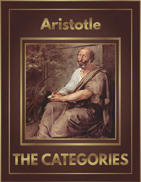



# THE CATEGORIES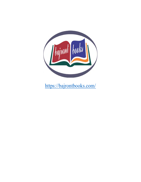

<https://bajrontbooks.com/>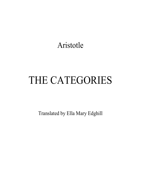### Aristotle

## THE CATEGORIES

Translated by Ella Mary Edghill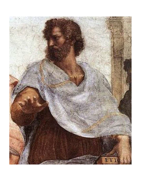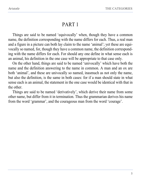Things are said to be named 'equivocally' when, though they have a common name, the definition corresponding with the name differs for each. Thus, a real man and a figure in a picture can both lay claim to the name 'animal'; yet these are equivocally so named, for, though they have a common name, the definition corresponding with the name differs for each. For should any one define in what sense each is an animal, his definition in the one case will be appropriate to that case only.

On the other hand, things are said to be named 'univocally' which have both the name and the definition answering to the name in common. A man and an ox are both 'animal', and these are univocally so named, inasmuch as not only the name, but also the definition, is the same in both cases: for if a man should state in what sense each is an animal, the statement in the one case would be identical with that in the other.

Things are said to be named 'derivatively', which derive their name from some other name, but differ from it in termination. Thus the grammarian derives his name from the word 'grammar', and the courageous man from the word 'courage'.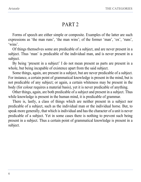Forms of speech are either simple or composite. Examples of the latter are such expressions as 'the man runs', 'the man wins'; of the former 'man', 'ox', 'runs', 'wins'.

Of things themselves some are predicable of a subject, and are never present in a subject. Thus 'man' is predicable of the individual man, and is never present in a subject.

By being 'present in a subject' I do not mean present as parts are present in a whole, but being incapable of existence apart from the said subject.

Some things, again, are present in a subject, but are never predicable of a subject. For instance, a certain point of grammatical knowledge is present in the mind, but is not predicable of any subject; or again, a certain whiteness may be present in the body (for colour requires a material basis), yet it is never predicable of anything.

Other things, again, are both predicable of a subject and present in a subject. Thus while knowledge is present in the human mind, it is predicable of grammar.

There is, lastly, a class of things which are neither present in a subject nor predicable of a subject, such as the individual man or the individual horse. But, to speak more generally, that which is individual and has the character of a unit is never predicable of a subject. Yet in some cases there is nothing to prevent such being present in a subject. Thus a certain point of grammatical knowledge is present in a subject.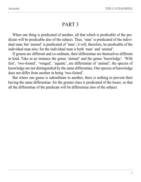When one thing is predicated of another, all that which is predicable of the predicate will be predicable also of the subject. Thus, 'man' is predicated of the individual man; but 'animal' is predicated of 'man'; it will, therefore, be predicable of the individual man also: for the individual man is both 'man' and 'animal'.

If genera are different and co-ordinate, their differentiae are themselves different in kind. Take as an instance the genus 'animal' and the genus 'knowledge'. 'With feet', 'two-footed', 'winged', 'aquatic', are differentiae of 'animal'; the species of knowledge are not distinguished by the same differentiae. One species of knowledge does not differ from another in being 'two-footed'.

But where one genus is subordinate to another, there is nothing to prevent their having the same differentiae: for the greater class is predicated of the lesser, so that all the differentiae of the predicate will be differentiae also of the subject.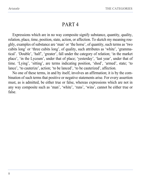Expressions which are in no way composite signify substance, quantity, quality, relation, place, time, position, state, action, or affection. To sketch my meaning roughly, examples of substance are 'man' or 'the horse', of quantity, such terms as 'two cubits long' or 'three cubits long', of quality, such attributes as 'white', 'grammatical'. 'Double', 'half', 'greater', fall under the category of relation; 'in the market place' , 'in the Lyceum', under that of place; 'yesterday' , 'last year', under that of time. 'Lying', 'sitting', are terms indicating position, 'shod', 'armed', state; 'to lance', 'to cauterize', action; 'to be lanced', 'to be cauterized', affection.

No one of these terms, in and by itself, involves an affirmation; it is by the combination of such terms that positive or negative statements arise. For every assertion must, as is admitted, be either true or false, whereas expressions which are not in any way composite such as 'man', 'white', 'runs', 'wins', cannot be either true or false.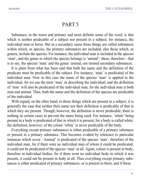Substance, in the truest and primary and most definite sense of the word, is that which is neither predicable of a subject nor present in a subject; for instance, the individual man or horse. But in a secondary sense those things are called substances within which, as species, the primary substances are included; also those which, as genera, include the species. For instance, the individual man is included in the species 'man', and the genus to which the species belongs is 'animal'; these, therefore—that is to say, the species 'man' and the genus 'animal,-are termed secondary substances.

It is plain from what has been said that both the name and the definition of the predicate must be predicable of the subject. For instance, 'man' is predicated of the individual man. Now in this case the name of the species 'man' is applied to the individual, for we use the term 'man' in describing the individual; and the definition of 'man' will also be predicated of the individual man, for the individual man is both man and animal. Thus, both the name and the definition of the species are predicable of the individual.

With regard, on the other hand, to those things which are present in a subject, it is generally the case that neither their name nor their definition is predicable of that in which they are present. Though, however, the definition is never predicable, there is nothing in certain cases to prevent the name being used. For instance, 'white' being present in a body is predicated of that in which it is present, for a body is called white: the definition, however, of the colour 'white' is never predicable of the body.

Everything except primary substances is either predicable of a primary substance or present in a primary substance. This becomes evident by reference to particular instances which occur. 'Animal' is predicated of the species 'man', therefore of the individual man, for if there were no individual man of whom it could be predicated, it could not be predicated of the species 'man' at all. Again, colour is present in body, therefore in individual bodies, for if there were no individual body in which it was present, it could not be present in body at all. Thus everything except primary substances is either predicated of primary substances, or is present in them, and if these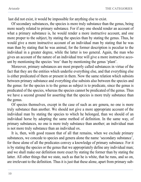last did not exist, it would be impossible for anything else to exist.

Of secondary substances, the species is more truly substance than the genus, being more nearly related to primary substance. For if any one should render an account of what a primary substance is, he would render a more instructive account, and one more proper to the subject, by stating the species than by stating the genus. Thus, he would give a more instructive account of an individual man by stating that he was man than by stating that he was animal, for the former description is peculiar to the individual in a greater degree, while the latter is too general. Again, the man who gives an account of the nature of an individual tree will give a more instructive account by mentioning the species 'tree' than by mentioning the genus 'plant'.

Moreover, primary substances are most properly called substances in virtue of the fact that they are the entities which underlie everything else, and that everything else is either predicated of them or present in them. Now the same relation which subsists between primary substance and everything else subsists also between the species and the genus: for the species is to the genus as subject is to predicate, since the genus is predicated of the species, whereas the species cannot be predicated of the genus. Thus we have a second ground for asserting that the species is more truly substance than the genus.

Of species themselves, except in the case of such as are genera, no one is more truly substance than another. We should not give a more appropriate account of the individual man by stating the species to which he belonged, than we should of an individual horse by adopting the same method of definition. In the same way, of primary substances, no one is more truly substance than another; an individual man is not more truly substance than an individual ox.

It is, then, with good reason that of all that remains, when we exclude primary substances, we concede to species and genera alone the name 'secondary substance', for these alone of all the predicates convey a knowledge of primary substance. For it is by stating the species or the genus that we appropriately define any individual man; and we shall make our definition more exact by stating the former than by stating the latter. All other things that we state, such as that he is white, that he runs, and so on, are irrelevant to the definition. Thus it is just that these alone, apart from primary sub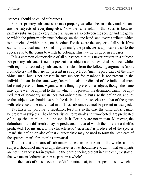stances, should be called substances.

Further, primary substances are most properly so called, because they underlie and are the subjects of everything else. Now the same relation that subsists between primary substance and everything else subsists also between the species and the genus to which the primary substance belongs, on the one hand, and every attribute which is not included within these, on the other. For these are the subjects of all such. If we call an individual man 'skilled in grammar', the predicate is applicable also to the species and to the genus to which he belongs. This law holds good in all cases.

It is a common characteristic of all substance that it is never present in a subject. For primary substance is neither present in a subject nor predicated of a subject; while, with regard to secondary substances, it is clear from the following arguments (apart from others) that they are not present in a subject. For 'man' is predicated of the individual man, but is not present in any subject: for manhood is not present in the individual man. In the same way, 'animal' is also predicated of the individual man, but is not present in him. Again, when a thing is present in a subject, though the name may quite well be applied to that in which it is present, the definition cannot be applied. Yet of secondary substances, not only the name, but also the definition, applies to the subject: we should use both the definition of the species and that of the genus with reference to the individual man. Thus substance cannot be present in a subject.

Yet this is not peculiar to substance, for it is also the case that differentiae cannot be present in subjects. The characteristics 'terrestrial' and 'two-footed' are predicated of the species 'man', but not present in it. For they are not in man. Moreover, the definition of the differentia may be predicated of that of which the differentia itself is predicated. For instance, if the characteristic 'terrestrial' is predicated of the species 'man', the definition also of that characteristic may be used to form the predicate of the species 'man': for 'man' is terrestrial.

The fact that the parts of substances appear to be present in the whole, as in a subject, should not make us apprehensive lest we should have to admit that such parts are not substances: for in explaining the phrase 'being present in a subject', we stated' that we meant 'otherwise than as parts in a whole'.

It is the mark of substances and of differentiae that, in all propositions of which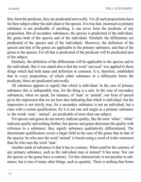they form the predicate, they are predicated univocally. For all such propositions have for their subject either the individual or the species. It is true that, inasmuch as primary substance is not predicable of anything, it can never form the predicate of any proposition. But of secondary substances, the species is predicated of the individual, the genus both of the species and of the individual. Similarly the differentiae are predicated of the species and of the individuals. Moreover, the definition of the species and that of the genus are applicable to the primary substance, and that of the genus to the species. For all that is predicated of the predicate will be predicated also of the subject.

Similarly, the definition of the differentiae will be applicable to the species and to the individuals. But it was stated above that the word 'univocal' was applied to those things which had both name and definition in common. It is, therefore, established that in every proposition, of which either substance or a differentia forms the predicate, these are predicated univocally.

All substance appears to signify that which is individual. In the case of primary substance this is indisputably true, for the thing is a unit. In the case of secondary substances, when we speak, for instance, of 'man' or 'animal', our form of speech gives the impression that we are here also indicating that which is individual, but the impression is not strictly true; for a secondary substance is not an individual, but a class with a certain qualification; for it is not one and single as a primary substance is; the words 'man' , 'animal', are predicable of more than one subject.

Yet species and genus do not merely indicate quality, like the term 'white'; 'white' indicates quality and nothing further, but species and genus determine the quality with reference to a substance: they signify substance qualitatively differentiated. The determinate qualification covers a larger field in the case of the genus that in that of the species: he who uses the word 'animal' is herein using a word of wider extension than he who uses the word 'man'.

Another mark of substance is that it has no contrary. What could be the contrary of any primary substance, such as the individual man or animal? It has none. Nor can the species or the genus have a contrary. Yet this characteristic is not peculiar to substance, but is true of many other things, such as quantity. There is nothing that forms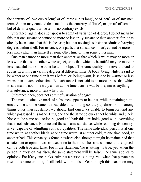the contrary of 'two cubits long' or of 'three cubits long', or of 'ten', or of any such term. A man may contend that 'much' is the contrary of 'little', or 'great' of 'small' , but of definite quantitative terms no contrary exists.

Substance, again, does not appear to admit of variation of degree. I do not mean by this that one substance cannot be more or less truly substance than another, for it has already been stated that this is the case; but that no single substance admits of varying degrees within itself. For instance, one particular substance, 'man', cannot be more or less man either than himself at some other time or than some other man.

One man cannot be more man than another, as that which is white may be more or less white than some other white object, or as that which is beautiful may be more or less beautiful than some other beautiful object. The same quality, moreover, is said to subsist in a thing in varying degrees at different times. A body, being white, is said to be whiter at one time than it was before, or, being warm, is said to be warmer or less warm than at some other time. But substance is not said to be more or less that which it is: a man is not more truly a man at one time than he was before, nor is anything, if it is substance, more or less what it is.

Substance, then, does not admit of variation of degree.

The most distinctive mark of substance appears to be that, while remaining numerically one and the same, it is capable of admitting contrary qualities. From among things other than substance, we should find ourselves unable to bring forward any which possessed this mark. Thus, one and the same colour cannot be white and black. Nor can the same one action be good and bad: this law holds good with everything that is not substance. But one and the selfsame substance, while retaining its identity, is yet capable of admitting contrary qualities. The same individual person is at one time white, at another black, at one time warm, at another cold, at one time good, at another bad. This capacity is found nowhere else, though it might be maintained that a statement or opinion was an exception to the rule. The same statement, it is agreed, can be both true and false. For if the statement 'he is sitting' is true, yet, when the person in question has risen, the same statement will be false. The same applies to opinions. For if any one thinks truly that a person is sitting, yet, when that person has risen, this same opinion, if still held, will be false. Yet although this exception may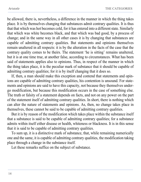be allowed, there is, nevertheless, a difference in the manner in which the thing takes place. It is by themselves changing that substances admit contrary qualities. It is thus that that which was hot becomes cold, for it has entered into a different state. Similarly that which was white becomes black, and that which was bad good, by a process of change; and in the same way in all other cases it is by changing that substances are capable of admitting contrary qualities. But statements and opinions themselves remain unaltered in all respects: it is by the alteration in the facts of the case that the contrary quality comes to be theirs. The statement 'he is sitting' remains unaltered, but it is at one time true, at another false, according to circumstances. What has been said of statements applies also to opinions. Thus, in respect of the manner in which the thing takes place, it is the peculiar mark of substance that it should be capable of admitting contrary qualities; for it is by itself changing that it does so.

If, then, a man should make this exception and contend that statements and opinions are capable of admitting contrary qualities, his contention is unsound. For statements and opinions are said to have this capacity, not because they themselves undergo modification, but because this modification occurs in the case of something else. The truth or falsity of a statement depends on facts, and not on any power on the part of the statement itself of admitting contrary qualities. In short, there is nothing which can alter the nature of statements and opinions. As, then, no change takes place in themselves, these cannot be said to be capable of admitting contrary qualities.

But it is by reason of the modification which takes place within the substance itself that a substance is said to be capable of admitting contrary qualities; for a substance admits within itself either disease or health, whiteness or blackness. It is in this sense that it is said to be capable of admitting contrary qualities.

To sum up, it is a distinctive mark of substance, that, while remaining numerically one and the same, it is capable of admitting contrary qualities, the modification taking place through a change in the substance itself.

Let these remarks suffice on the subject of substance.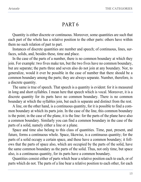Quantity is either discrete or continuous. Moreover, some quantities are such that each part of the whole has a relative position to the other parts: others have within them no such relation of part to part.

Instances of discrete quantities are number and speech; of continuous, lines, surfaces, solids, and, besides these, time and place.

In the case of the parts of a number, there is no common boundary at which they join. For example: two fives make ten, but the two fives have no common boundary, but are separate; the parts three and seven also do not join at any boundary. Nor, to generalize, would it ever be possible in the case of number that there should be a common boundary among the parts; they are always separate. Number, therefore, is a discrete quantity.

The same is true of speech. That speech is a quantity is evident: for it is measured in long and short syllables. I mean here that speech which is vocal. Moreover, it is a discrete quantity for its parts have no common boundary. There is no common boundary at which the syllables join, but each is separate and distinct from the rest.

A line, on the other hand, is a continuous quantity, for it is possible to find a common boundary at which its parts join. In the case of the line, this common boundary is the point; in the case of the plane, it is the line: for the parts of the plane have also a common boundary. Similarly you can find a common boundary in the case of the parts of a solid, namely either a line or a plane.

Space and time also belong to this class of quantities. Time, past, present, and future, forms a continuous whole. Space, likewise, is a continuous quantity; for the parts of a solid occupy a certain space, and these have a common boundary; it follows that the parts of space also, which are occupied by the parts of the solid, have the same common boundary as the parts of the solid. Thus, not only time, but space also, is a continuous quantity, for its parts have a common boundary.

Quantities consist either of parts which bear a relative position each to each, or of parts which do not. The parts of a line bear a relative position to each other, for each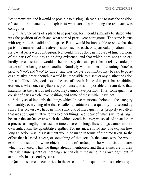lies somewhere, and it would be possible to distinguish each, and to state the position of each on the plane and to explain to what sort of part among the rest each was contiguous.

Similarly the parts of a plane have position, for it could similarly be stated what was the position of each and what sort of parts were contiguous. The same is true with regard to the solid and to space. But it would be impossible to show that the parts of a number had a relative position each to each, or a particular position, or to state what parts were contiguous. Nor could this be done in the case of time, for none of the parts of time has an abiding existence, and that which does not abide can hardly have position. It would be better to say that such parts had a relative order, in virtue of one being prior to another. Similarly with number: in counting, 'one' is prior to 'two', and 'two' to 'three', and thus the parts of number may be said to possess a relative order, though it would be impossible to discover any distinct position for each. This holds good also in the case of speech. None of its parts has an abiding existence: when once a syllable is pronounced, it is not possible to retain it, so that, naturally, as the parts do not abide, they cannot have position. Thus, some quantities consist of parts which have position, and some of those which have not.

Strictly speaking, only the things which I have mentioned belong to the category of quantity: everything else that is called quantitative is a quantity in a secondary sense. It is because we have in mind some one of these quantities, properly so called, that we apply quantitative terms to other things. We speak of what is white as large, because the surface over which the white extends is large; we speak of an action or a process as lengthy, because the time covered is long; these things cannot in their own right claim the quantitative epithet. For instance, should any one explain how long an action was, his statement would be made in terms of the time taken, to the effect that it lasted a year, or something of that sort. In the same way, he would explain the size of a white object in terms of surface, for he would state the area which it covered. Thus the things already mentioned, and these alone, are in their intrinsic nature quantities; nothing else can claim the name in its own right, but, if at all, only in a secondary sense.

Quantities have no contraries. In the case of definite quantities this is obvious;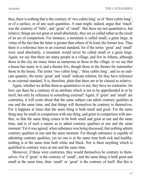thus, there is nothing that is the contrary of 'two cubits long' or of 'three cubits long' , or of a surface, or of any such quantities. A man might, indeed, argue that 'much' was the contrary of 'little', and 'great' of 'small'. But these are not quantitative, but relative; things are not great or small absolutely, they are so called rather as the result of an act of comparison. For instance, a mountain is called small, a grain large, in virtue of the fact that the latter is greater than others of its kind, the former less. Thus there is a reference here to an external standard, for if the terms 'great' and 'small' were used absolutely, a mountain would never be called small or a grain large. Again, we say that there are many people in a village, and few in Athens, although those in the city are many times as numerous as those in the village: or we say that a house has many in it, and a theatre few, though those in the theatre far outnumber those in the house. The terms 'two cubits long', 'three cubits long', and so on indicate quantity, the terms 'great' and 'small' indicate relation, for they have reference to an external standard. It is, therefore, plain that these are to be classed as relative.

Again, whether we define them as quantitative or not, they have no contraries: for how can there be a contrary of an attribute which is not to be apprehended in or by itself, but only by reference to something external? Again, if 'great' and 'small' are contraries, it will come about that the same subject can admit contrary qualities at one and the same time, and that things will themselves be contrary to themselves. For it happens at times that the same thing is both small and great. For the same thing may be small in comparison with one thing, and great in comparison with another, so that the same thing comes to be both small and great at one and the same time, and is of such a nature as to admit contrary qualities at one and the same moment. Yet it was agreed, when substance was being discussed, that nothing admits contrary qualities at one and the same moment. For though substance is capable of admitting contrary qualities, yet no one is at the same time both sick and healthy, nothing is at the same time both white and black. Nor is there anything which is qualified in contrary ways at one and the same time.

Moreover, if these were contraries, they would themselves be contrary to themselves. For if 'great' is the contrary of 'small', and the same thing is both great and small at the same time, then 'small' or 'great' is the contrary of itself. But this is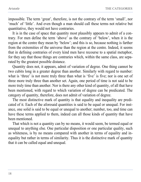impossible. The term 'great', therefore, is not the contrary of the term 'small', nor 'much' of 'little'. And even though a man should call these terms not relative but quantitative, they would not have contraries.

It is in the case of space that quantity most plausibly appears to admit of a contrary. For men define the term 'above' as the contrary of 'below', when it is the region at the centre they mean by 'below'; and this is so, because nothing is farther from the extremities of the universe than the region at the centre. Indeed, it seems that in defining contraries of every kind men have recourse to a spatial metaphor, for they say that those things are contraries which, within the same class, are separated by the greatest possible distance.

Quantity does not, it appears, admit of variation of degree. One thing cannot be two cubits long in a greater degree than another. Similarly with regard to number: what is 'three' is not more truly three than what is 'five' is five; nor is one set of three more truly three than another set. Again, one period of time is not said to be more truly time than another. Nor is there any other kind of quantity, of all that have been mentioned, with regard to which variation of degree can be predicated. The category of quantity, therefore, does not admit of variation of degree.

The most distinctive mark of quantity is that equality and inequality are predicated of it. Each of the aforesaid quantities is said to be equal or unequal. For instance, one solid is said to be equal or unequal to another; number, too, and time can have these terms applied to them, indeed can all those kinds of quantity that have been mentioned.

That which is not a quantity can by no means, it would seem, be termed equal or unequal to anything else. One particular disposition or one particular quality, such as whiteness, is by no means compared with another in terms of equality and inequality but rather in terms of similarity. Thus it is the distinctive mark of quantity that it can be called equal and unequal.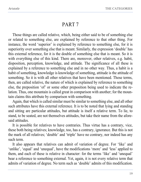Those things are called relative, which, being either said to be of something else or related to something else, are explained by reference to that other thing. For instance, the word 'superior' is explained by reference to something else, for it is superiority over something else that is meant. Similarly, the expression 'double' has this external reference, for it is the double of something else that is meant. So it is with everything else of this kind. There are, moreover, other relatives, e.g. habit, disposition, perception, knowledge, and attitude. The significance of all these is explained by a reference to something else and in no other way. Thus, a habit is a habit of something, knowledge is knowledge of something, attitude is the attitude of something. So it is with all other relatives that have been mentioned. Those terms, then, are called relative, the nature of which is explained by reference to something else, the preposition 'of' or some other preposition being used to indicate the relation. Thus, one mountain is called great in comparison with another; for the mountain claims this attribute by comparison with something.

Again, that which is called similar must be similar to something else, and all other such attributes have this external reference. It is to be noted that lying and standing and sitting are particular attitudes, but attitude is itself a relative term. To lie, to stand, to be seated, are not themselves attitudes, but take their name from the aforesaid attitudes.

It is possible for relatives to have contraries. Thus virtue has a contrary, vice, these both being relatives; knowledge, too, has a contrary, ignorance. But this is not the mark of all relatives; 'double' and 'triple' have no contrary, nor indeed has any such term.

It also appears that relatives can admit of variation of degree. For 'like' and 'unlike' , 'equal' and 'unequal', have the modifications 'more' and 'less' applied to them, and each of these is relative in character: for the terms 'like' and 'unequal' bear a reference to something external. Yet, again, it is not every relative term that admits of variation of degree. No term such as 'double' admits of this modification.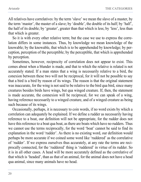All relatives have correlatives: by the term 'slave' we mean the slave of a master, by the term 'master', the master of a slave; by 'double', the double of its half; by 'half' , the half of its double; by 'greater', greater than that which is less; by 'less', less than that which is greater.

So it is with every other relative term; but the case we use to express the correlation differs in some instances. Thus, by knowledge we mean knowledge of the knowable; by the knowable, that which is to be apprehended by knowledge; by perception, perception of the perceptible; by the perceptible, that which is apprehended by perception.

Sometimes, however, reciprocity of correlation does not appear to exist. This comes about when a blunder is made, and that to which the relative is related is not accurately stated. If a man states that a wing is necessarily relative to a bird, the conexion between these two will not be reciprocal, for it will not be possible to say that a bird is a bird by reason of its wings. The reason is that the original statement was inaccurate, for the wing is not said to be relative to the bird qua bird, since many creatures besides birds have wings, but qua winged creature. If, then, the statement is made accurate, the connexion will be reciprocal, for we can speak of a wing, having reference necessarily to a winged creature, and of a winged creature as being such because of its wings.

Occasionally, perhaps, it is necessary to coin words, if no word exists by which a correlation can adequately be explained. If we define a rudder as necessarily having reference to a boat, our definition will not be appropriate, for the rudder does not have this reference to a boat qua boat, as there are boats which have no rudders. Thus we cannot use the terms reciprocally, for the word 'boat' cannot be said to find its explanation in the word 'rudder'. As there is no existing word, our definition would perhaps be more accurate if we coined some word like 'ruddered' as the correlative of 'rudder'. If we express ourselves thus accurately, at any rate the terms are reciprocally connected, for the 'ruddered' thing is 'ruddered' in virtue of its rudder. So it is in all other cases. A head will be more accurately defined as the correlative of that which is 'headed', than as that of an animal, for the animal does not have a head qua animal, since many animals have no head.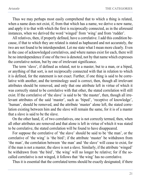Thus we may perhaps most easily comprehend that to which a thing is related, when a name does not exist, if, from that which has a name, we derive a new name, and apply it to that with which the first is reciprocally connected, as in the aforesaid instances, when we derived the word 'winged' from 'wing' and from 'rudder'.

All relatives, then, if properly defined, have a correlative. I add this condition because, if that to which they are related is stated as haphazard and not accurately, the two are not found to be interdependent. Let me state what I mean more clearly. Even in the case of acknowledged correlatives, and where names exist for each, there will be no interdependence if one of the two is denoted, not by that name which expresses the correlative notion, but by one of irrelevant significance.

The term 'slave', if defined as related, not to a master, but to a man, or a biped, or anything of that sort, is not reciprocally connected with that in relation to which it is defined, for the statement is not exact. Further, if one thing is said to be correlative with another, and the terminology used is correct, then, though all irrelevant attributes should be removed, and only that one attribute left in virtue of which it was correctly stated to be correlative with that other, the stated correlation will still exist. If the correlative of 'the slave' is said to be 'the master', then, though all irrelevant attributes of the said 'master', such as 'biped', 'receptive of knowledge', 'human', should be removed, and the attribute 'master' alone left, the stated correlation existing between him and the slave will remain the same, for it is of a master that a slave is said to be the slave.

On the other hand, if, of two correlatives, one is not correctly termed, then, when all other attributes are removed and that alone is left in virtue of which it was stated to be correlative, the stated correlation will be found to have disappeared.

For suppose the correlative of 'the slave' should be said to be 'the man', or the correlative of 'the wing' is 'the bird'; if the attribute 'master' be withdrawn from 'the man', the correlation between 'the man' and 'the slave' will cease to exist, for if the man is not a master, the slave is not a slave. Similarly, if the attribute 'winged' be withdrawn from 'the bird', 'the wing' will no longer be relative; for if the socalled correlative is not winged, it follows that 'the wing' has no correlative.

Thus it is essential that the correlated terms should be exactly designated; if there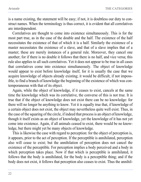is a name existing, the statement will be easy; if not, it is doubtless our duty to construct names. When the terminology is thus correct, it is evident that all correlatives are interdependent.

Correlatives are thought to come into existence simultaneously. This is for the most part true, as in the case of the double and the half. The existence of the half necessitates the existence of that of which it is a half. Similarly the existence of a master necessitates the existence of a slave, and that of a slave implies that of a master; these are merely instances of a general rule. Moreover, they cancel one another; for if there is no double it follows that there is no half, and vice versa; this rule also applies to all such correlatives. Yet it does not appear to be true in all cases that correlatives come into existence simultaneously. The object of knowledge would appear to exist before knowledge itself, for it is usually the case that we acquire knowledge of objects already existing; it would be difficult, if not impossible, to find a branch of knowledge the beginning of the existence of which was contemporaneous with that of its object.

Again, while the object of knowledge, if it ceases to exist, cancels at the same time the knowledge which was its correlative, the converse of this is not true. It is true that if the object of knowledge does not exist there can be no knowledge: for there will no longer be anything to know. Yet it is equally true that, if knowledge of a certain object does not exist, the object may nevertheless quite well exist. Thus, in the case of the squaring of the circle, if indeed that process is an object of knowledge, though it itself exists as an object of knowledge, yet the knowledge of it has not yet come into existence. Again, if all animals ceased to exist, there would be no knowledge, but there might yet be many objects of knowledge.

This is likewise the case with regard to perception: for the object of perception is, it appears, prior to the act of perception. If the perceptible is annihilated, perception also will cease to exist; but the annihilation of perception does not cancel the existence of the perceptible. For perception implies a body perceived and a body in which perception takes place. Now if that which is perceptible is annihilated, it follows that the body is annihilated, for the body is a perceptible thing; and if the body does not exist, it follows that perception also ceases to exist. Thus the annihil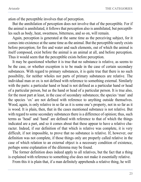ation of the perceptible involves that of perception.

But the annihilation of perception does not involve that of the perceptible. For if the animal is annihilated, it follows that perception also is annihilated, but perceptibles such as body, heat, sweetness, bitterness, and so on, will remain.

Again, perception is generated at the same time as the perceiving subject, for it comes into existence at the same time as the animal. But the perceptible surely exists before perception; for fire and water and such elements, out of which the animal is itself composed, exist before the animal is an animal at all, and before perception. Thus it would seem that the perceptible exists before perception.

It may be questioned whether it is true that no substance is relative, as seems to be the case, or whether exception is to be made in the case of certain secondary substances. With regard to primary substances, it is quite true that there is no such possibility, for neither wholes nor parts of primary substances are relative. The individual man or ox is not defined with reference to something external. Similarly with the parts: a particular hand or head is not defined as a particular hand or head of a particular person, but as the hand or head of a particular person. It is true also, for the most part at least, in the case of secondary substances; the species 'man' and the species 'ox' are not defined with reference to anything outside themselves. Wood, again, is only relative in so far as it is some one's property, not in so far as it is wood. It is plain, then, that in the cases mentioned substance is not relative. But with regard to some secondary substances there is a difference of opinion; thus, such terms as 'head' and 'hand' are defined with reference to that of which the things indicated are a part, and so it comes about that these appear to have a relative character. Indeed, if our definition of that which is relative was complete, it is very difficult, if not impossible, to prove that no substance is relative. If, however, our definition was not complete, if those things only are properly called relative in the case of which relation to an external object is a necessary condition of existence, perhaps some explanation of the dilemma may be found.

The former definition does indeed apply to all relatives, but the fact that a thing is explained with reference to something else does not make it essentially relative.

From this it is plain that, if a man definitely apprehends a relative thing, he will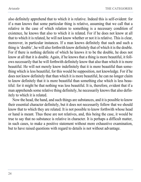also definitely apprehend that to which it is relative. Indeed this is self-evident: for if a man knows that some particular thing is relative, assuming that we call that a relative in the case of which relation to something is a necessary condition of existence, he knows that also to which it is related. For if he does not know at all that to which it is related, he will not know whether or not it is relative. This is clear, moreover, in particular instances. If a man knows definitely that such and such a thing is 'double', he will also forthwith know definitely that of which it is the double. For if there is nothing definite of which he knows it to be the double, he does not know at all that it is double. Again, if he knows that a thing is more beautiful, it follows necessarily that he will forthwith definitely know that also than which it is more beautiful. He will not merely know indefinitely that it is more beautiful than something which is less beautiful, for this would be supposition, not knowledge. For if he does not know definitely that than which it is more beautiful, he can no longer claim to know definitely that it is more beautiful than something else which is less beautiful: for it might be that nothing was less beautiful. It is, therefore, evident that if a man apprehends some relative thing definitely, he necessarily knows that also definitely to which it is related.

Now the head, the hand, and such things are substances, and it is possible to know their essential character definitely, but it does not necessarily follow that we should know that to which they are related. It is not possible to know forthwith whose head or hand is meant. Thus these are not relatives, and, this being the case, it would be true to say that no substance is relative in character. It is perhaps a difficult matter, in such cases, to make a positive statement without more exhaustive examination, but to have raised questions with regard to details is not without advantage.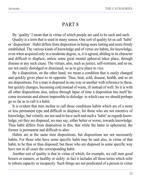By 'quality' I mean that in virtue of which people are said to be such and such. Quality is a term that is used in many senses. One sort of quality let us call 'habit' or 'disposition'. Habit differs from disposition in being more lasting and more firmly established. The various kinds of knowledge and of virtue are habits, for knowledge, even when acquired only in a moderate degree, is, it is agreed, abiding in its character and difficult to displace, unless some great mental upheaval takes place, through disease or any such cause. The virtues, also, such as justice, self-restraint, and so on, are not easily dislodged or dismissed, so as to give place to vice.

By a disposition, on the other hand, we mean a condition that is easily changed and quickly gives place to its opposite. Thus, heat, cold, disease, health, and so on are dispositions. For a man is disposed in one way or another with reference to these, but quickly changes, becoming cold instead of warm, ill instead of well. So it is with all other dispositions also, unless through lapse of time a disposition has itself become inveterate and almost impossible to dislodge: in which case we should perhaps go so far as to call it a habit.

It is evident that men incline to call those conditions habits which are of a more or less permanent type and difficult to displace; for those who are not retentive of knowledge, but volatile, are not said to have such and such a 'habit' as regards knowledge, yet they are disposed, we may say, either better or worse, towards knowledge. Thus habit differs from disposition in this, that while the latter in ephemeral, the former is permanent and difficult to alter.

Habits are at the same time dispositions, but dispositions are not necessarily habits. For those who have some specific habit may be said also, in virtue of that habit, to be thus or thus disposed; but those who are disposed in some specific way have not in all cases the corresponding habit.

Another sort of quality is that in virtue of which, for example, we call men good boxers or runners, or healthy or sickly: in fact it includes all those terms which refer to inborn capacity or incapacity. Such things are not predicated of a person in virtue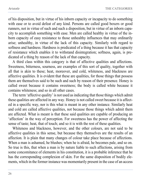of his disposition, but in virtue of his inborn capacity or incapacity to do something with ease or to avoid defeat of any kind. Persons are called good boxers or good runners, not in virtue of such and such a disposition, but in virtue of an inborn capacity to accomplish something with ease. Men are called healthy in virtue of the inborn capacity of easy resistance to those unhealthy influences that may ordinarily arise; unhealthy, in virtue of the lack of this capacity. Similarly with regard to softness and hardness. Hardness is predicated of a thing because it has that capacity of resistance which enables it to withstand disintegration; softness, again, is predicated of a thing by reason of the lack of that capacity.

A third class within this category is that of affective qualities and affections. Sweetness, bitterness, sourness, are examples of this sort of quality, together with all that is akin to these; heat, moreover, and cold, whiteness, and blackness are affective qualities. It is evident that these are qualities, for those things that possess them are themselves said to be such and such by reason of their presence. Honey is called sweet because it contains sweetness; the body is called white because it contains whiteness; and so in all other cases.

The term 'affective quality' is not used as indicating that those things which admit these qualities are affected in any way. Honey is not called sweet because it is affected in a specific way, nor is this what is meant in any other instance. Similarly heat and cold are called affective qualities, not because those things which admit them are affected. What is meant is that these said qualities are capable of producing an 'affection' in the way of perception. For sweetness has the power of affecting the sense of taste; heat, that of touch; and so it is with the rest of these qualities.

Whiteness and blackness, however, and the other colours, are not said to be affective qualities in this sense, but because they themselves are the results of an affection. It is plain that many changes of colour take place because of affections. When a man is ashamed, he blushes; when he is afraid, he becomes pale, and so on. So true is this, that when a man is by nature liable to such affections, arising from some concomitance of elements in his constitution, it is a probable inference that he has the corresponding complexion of skin. For the same disposition of bodily elements, which in the former instance was momentarily present in the case of an access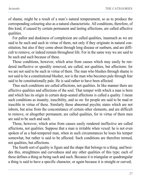of shame, might be a result of a man's natural temperament, so as to produce the corresponding colouring also as a natural characteristic. All conditions, therefore, of this kind, if caused by certain permanent and lasting affections, are called affective qualities.

For pallor and duskiness of complexion are called qualities, inasmuch as we are said to be such and such in virtue of them, not only if they originate in natural constitution, but also if they come about through long disease or sunburn, and are difficult to remove, or indeed remain throughout life. For in the same way we are said to be such and such because of these.

Those conditions, however, which arise from causes which may easily be rendered ineffective or speedily removed, are called, not qualities, but affections: for we are not said to be such in virtue of them. The man who blushes through shame is not said to be a constitutional blusher, nor is the man who becomes pale through fear said to be constitutionally pale. He is said rather to have been affected.

Thus such conditions are called affections, not qualities. In like manner there are affective qualities and affections of the soul. That temper with which a man is born and which has its origin in certain deep-seated affections is called a quality. I mean such conditions as insanity, irascibility, and so on: for people are said to be mad or irascible in virtue of these. Similarly those abnormal psychic states which are not inborn, but arise from the concomitance of certain other elements, and are difficult to remove, or altogether permanent, are called qualities, for in virtue of them men are said to be such and such.

Those, however, which arise from causes easily rendered ineffective are called affections, not qualities. Suppose that a man is irritable when vexed: he is not even spoken of as a bad-tempered man, when in such circumstances he loses his temper somewhat, but rather is said to be affected. Such conditions are therefore termed, not qualities, but affections.

The fourth sort of quality is figure and the shape that belongs to a thing; and besides this, straightness and curvedness and any other qualities of this type; each of these defines a thing as being such and such. Because it is triangular or quadrangular a thing is said to have a specific character, or again because it is straight or curved;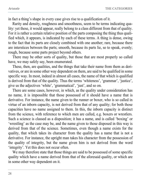in fact a thing's shape in every case gives rise to a qualification of it.

Rarity and density, roughness and smoothness, seem to be terms indicating quality: yet these, it would appear, really belong to a class different from that of quality. For it is rather a certain relative position of the parts composing the thing thus qualified which, it appears, is indicated by each of these terms. A thing is dense, owing to the fact that its parts are closely combined with one another; rare, because there are interstices between the parts; smooth, because its parts lie, so to speak, evenly; rough, because some parts project beyond others.

There may be other sorts of quality, but those that are most properly so called have, we may safely say, been enumerated.

These, then, are qualities, and the things that take their name from them as derivatives, or are in some other way dependent on them, are said to be qualified in some specific way. In most, indeed in almost all cases, the name of that which is qualified is derived from that of the quality. Thus the terms 'whiteness', 'grammar', 'justice', give us the adjectives 'white' , 'grammatical' , 'just', and so on.

There are some cases, however, in which, as the quality under consideration has no name, it is impossible that those possessed of it should have a name that is derivative. For instance, the name given to the runner or boxer, who is so called in virtue of an inborn capacity, is not derived from that of any quality; for both those capacities have no name assigned to them. In this, the inborn capacity is distinct from the science, with reference to which men are called, e.g. boxers or wrestlers. Such a science is classed as a disposition; it has a name, and is called 'boxing' or 'wrestling' as the case may be, and the name given to those disposed in this way is derived from that of the science. Sometimes, even though a name exists for the quality, that which takes its character from the quality has a name that is not a derivative. For instance, the upright man takes his character from the possession of the quality of integrity, but the name given him is not derived from the word 'integrity'. Yet this does not occur often.

We may therefore state that those things are said to be possessed of some specific quality which have a name derived from that of the aforesaid quality, or which are in some other way dependent on it.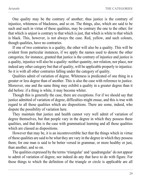One quality may be the contrary of another; thus justice is the contrary of injustice, whiteness of blackness, and so on. The things, also, which are said to be such and such in virtue of these qualities, may be contrary the one to the other; for that which is unjust is contrary to that which is just, that which is white to that which is black. This, however, is not always the case. Red, yellow, and such colours, though qualities, have no contraries.

If one of two contraries is a quality, the other will also be a quality. This will be evident from particular instances, if we apply the names used to denote the other categories; for instance, granted that justice is the contrary of injustice and justice is a quality, injustice will also be a quality: neither quantity, nor relation, nor place, nor indeed any other category but that of quality, will be applicable properly to injustice. So it is with all other contraries falling under the category of quality.

Qualities admit of variation of degree. Whiteness is predicated of one thing in a greater or less degree than of another. This is also the case with reference to justice. Moreover, one and the same thing may exhibit a quality in a greater degree than it did before: if a thing is white, it may become whiter.

Though this is generally the case, there are exceptions. For if we should say that justice admitted of variation of degree, difficulties might ensue, and this is true with regard to all those qualities which are dispositions. There are some, indeed, who dispute the possibility of variation here.

They maintain that justice and health cannot very well admit of variation of degree themselves, but that people vary in the degree in which they possess these qualities, and that this is the case with grammatical learning and all those qualities which are classed as dispositions.

However that may be, it is an incontrovertible fact that the things which in virtue of these qualities are said to be what they are vary in the degree in which they possess them; for one man is said to be better versed in grammar, or more healthy or just, than another, and so on.

The qualities expressed by the terms 'triangular' and 'quadrangular' do not appear to admit of variation of degree, nor indeed do any that have to do with figure. For those things to which the definition of the triangle or circle is applicable are all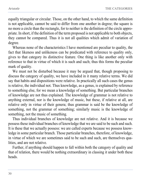equally triangular or circular. Those, on the other hand, to which the same definition is not applicable, cannot be said to differ from one another in degree; the square is no more a circle than the rectangle, for to neither is the definition of the circle appropriate. In short, if the definition of the term proposed is not applicable to both objects, they cannot be compared. Thus it is not all qualities which admit of variation of degree.

Whereas none of the characteristics I have mentioned are peculiar to quality, the fact that likeness and unlikeness can be predicated with reference to quality only, gives to that category its distinctive feature. One thing is like another only with reference to that in virtue of which it is such and such; thus this forms the peculiar mark of quality.

We must not be disturbed because it may be argued that, though proposing to discuss the category of quality, we have included in it many relative terms. We did say that habits and dispositions were relative. In practically all such cases the genus is relative, the individual not. Thus knowledge, as a genus, is explained by reference to something else, for we mean a knowledge of something. But particular branches of knowledge are not thus explained. The knowledge of grammar is not relative to anything external, nor is the knowledge of music, but these, if relative at all, are relative only in virtue of their genera; thus grammar is said be the knowledge of something, not the grammar of something; similarly music is the knowledge of something, not the music of something.

Thus individual branches of knowledge are not relative. And it is because we possess these individual branches of knowledge that we are said to be such and such. It is these that we actually possess: we are called experts because we possess knowledge in some particular branch. Those particular branches, therefore, of knowledge, in virtue of which we are sometimes said to be such and such, are themselves qualities, and are not relative.

Further, if anything should happen to fall within both the category of quality and that of relation, there would be nothing extraordinary in classing it under both these heads.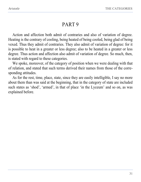Action and affection both admit of contraries and also of variation of degree. Heating is the contrary of cooling, being heated of being cooled, being glad of being vexed. Thus they admit of contraries. They also admit of variation of degree: for it is possible to heat in a greater or less degree; also to be heated in a greater or less degree. Thus action and affection also admit of variation of degree. So much, then, is stated with regard to these categories.

We spoke, moreover, of the category of position when we were dealing with that of relation, and stated that such terms derived their names from those of the corresponding attitudes.

As for the rest, time, place, state, since they are easily intelligible, I say no more about them than was said at the beginning, that in the category of state are included such states as 'shod' , 'armed', in that of place 'in the Lyceum' and so on, as was explained before.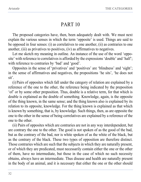The proposed categories have, then, been adequately dealt with. We must next explain the various senses in which the term 'opposite' is used. Things are said to be opposed in four senses: (i) as correlatives to one another, (ii) as contraries to one another, (iii) as privatives to positives, (iv) as affirmatives to negatives.

Let me sketch my meaning in outline. An instance of the use of the word 'opposite' with reference to correlatives is afforded by the expressions 'double' and 'half'; with reference to contraries by 'bad' and 'good'.

Opposites in the sense of 'privatives' and 'positives' are 'blindness' and 'sight'; in the sense of affirmatives and negatives, the propositions 'he sits' , 'he does not sit'.

(i) Pairs of opposites which fall under the category of relation are explained by a reference of the one to the other, the reference being indicated by the preposition 'of' or by some other preposition. Thus, double is a relative term, for that which is double is explained as the double of something. Knowledge, again, is the opposite of the thing known, in the same sense; and the thing known also is explained by its relation to its opposite, knowledge. For the thing known is explained as that which is known by something, that is, by knowledge. Such things, then, as are opposite the one to the other in the sense of being correlatives are explained by a reference of the one to the other.

(ii) Pairs of opposites which are contraries are not in any way interdependent, but are contrary the one to the other. The good is not spoken of as the good of the bad, but as the contrary of the bad, nor is white spoken of as the white of the black, but as the contrary of the black. These two types of opposition are therefore distinct. Those contraries which are such that the subjects in which they are naturally present, or of which they are predicated, must necessarily contain either the one or the other of them, have no intermediate, but those in the case of which no such necessity obtains, always have an intermediate. Thus disease and health are naturally present in the body of an animal, and it is necessary that either the one or the other should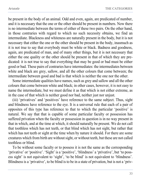be present in the body of an animal. Odd and even, again, are predicated of number, and it is necessary that the one or the other should be present in numbers. Now there is no intermediate between the terms of either of these two pairs. On the other hand, in those contraries with regard to which no such necessity obtains, we find an intermediate. Blackness and whiteness are naturally present in the body, but it is not necessary that either the one or the other should be present in the body, inasmuch as it is not true to say that everybody must be white or black. Badness and goodness, again, are predicated of man, and of many other things, but it is not necessary that either the one quality or the other should be present in that of which they are predicated: it is not true to say that everything that may be good or bad must be either good or bad. These pairs of contraries have intermediates: the intermediates between white and black are grey, sallow, and all the other colours that come between; the intermediate between good and bad is that which is neither the one nor the other.

Some intermediate qualities have names, such as grey and sallow and all the other colours that come between white and black; in other cases, however, it is not easy to name the intermediate, but we must define it as that which is not either extreme, as in the case of that which is neither good nor bad, neither just nor unjust.

(iii) 'privatives' and 'positives' have reference to the same subject. Thus, sight and blindness have reference to the eye. It is a universal rule that each of a pair of opposites of this type has reference to that to which the particular 'positive' is natural. We say that that is capable of some particular faculty or possession has suffered privation when the faculty or possession in question is in no way present in that in which, and at the time at which, it should naturally be present. We do not call that toothless which has not teeth, or that blind which has not sight, but rather that which has not teeth or sight at the time when by nature it should. For there are some creatures which from birth are without sight, or without teeth, but these are not called toothless or blind.

To be without some faculty or to possess it is not the same as the corresponding 'privative' or 'positive'. 'Sight' is a 'positive', 'blindness' a 'privative', but 'to possess sight' is not equivalent to 'sight', 'to be blind' is not equivalent to 'blindness'. Blindness is a 'privative', to be blind is to be in a state of privation, but is not a 'priv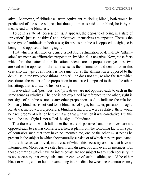ative'. Moreover, if 'blindness' were equivalent to 'being blind', both would be predicated of the same subject; but though a man is said to be blind, he is by no means said to be blindness.

To be in a state of 'possession' is, it appears, the opposite of being in a state of 'privation' , just as 'positives' and 'privatives' themselves are opposite. There is the same type of antithesis in both cases; for just as blindness is opposed to sight, so is being blind opposed to having sight.

That which is affirmed or denied is not itself affirmation or denial. By 'affirmation' we mean an affirmative proposition, by 'denial' a negative. Now, those facts which form the matter of the affirmation or denial are not propositions; yet these two are said to be opposed in the same sense as the affirmation and denial, for in this case also the type of antithesis is the same. For as the affirmation is opposed to the denial, as in the two propositions 'he sits' , 'he does not sit', so also the fact which constitutes the matter of the proposition in one case is opposed to that in the other, his sitting, that is to say, to his not sitting.

It is evident that 'positives' and 'privatives' are not opposed each to each in the same sense as relatives. The one is not explained by reference to the other; sight is not sight of blindness, nor is any other preposition used to indicate the relation. Similarly blindness is not said to be blindness of sight, but rather, privation of sight. Relatives, moreover, reciprocate; if blindness, therefore, were a relative, there would be a reciprocity of relation between it and that with which it was correlative. But this is not the case. Sight is not called the sight of blindness.

That those terms which fall under the heads of 'positives' and 'privatives' are not opposed each to each as contraries, either, is plain from the following facts: Of a pair of contraries such that they have no intermediate, one or the other must needs be present in the subject in which they naturally subsist, or of which they are predicated; for it is those, as we proved, in the case of which this necessity obtains, that have no intermediate. Moreover, we cited health and disease, odd and even, as instances. But those contraries which have an intermediate are not subject to any such necessity. It is not necessary that every substance, receptive of such qualities, should be either black or white, cold or hot, for something intermediate between these contraries may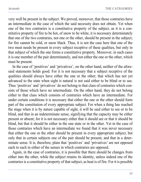very well be present in the subject. We proved, moreover, that those contraries have an intermediate in the case of which the said necessity does not obtain. Yet when one of the two contraries is a constitutive property of the subject, as it is a constitutive property of fire to be hot, of snow to be white, it is necessary determinately that one of the two contraries, not one or the other, should be present in the subject; for fire cannot be cold, or snow black. Thus, it is not the case here that one of the two must needs be present in every subject receptive of these qualities, but only in that subject of which the one forms a constitutive property. Moreover, in such cases it is one member of the pair determinately, and not either the one or the other, which must be present.

In the case of 'positives' and 'privatives', on the other hand, neither of the aforesaid statements holds good. For it is not necessary that a subject receptive of the qualities should always have either the one or the other; that which has not yet advanced to the state when sight is natural is not said either to be blind or to see. Thus 'positives' and 'privatives' do not belong to that class of contraries which consists of those which have no intermediate. On the other hand, they do not belong either to that class which consists of contraries which have an intermediate. For under certain conditions it is necessary that either the one or the other should form part of the constitution of every appropriate subject. For when a thing has reached the stage when it is by nature capable of sight, it will be said either to see or to be blind, and that in an indeterminate sense, signifying that the capacity may be either present or absent; for it is not necessary either that it should see or that it should be blind, but that it should be either in the one state or in the other. Yet in the case of those contraries which have an intermediate we found that it was never necessary that either the one or the other should be present in every appropriate subject, but only that in certain subjects one of the pair should be present, and that in a determinate sense. It is, therefore, plain that 'positives' and 'privatives' are not opposed each to each in either of the senses in which contraries are opposed.

Again, in the case of contraries, it is possible that there should be changes from either into the other, while the subject retains its identity, unless indeed one of the contraries is a constitutive property of that subject, as heat is of fire. For it is possible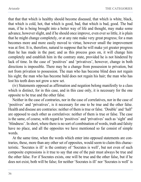that that that which is healthy should become diseased, that which is white, black, that which is cold, hot, that which is good, bad, that which is bad, good. The bad man, if he is being brought into a better way of life and thought, may make some advance, however slight, and if he should once improve, even ever so little, it is plain that he might change completely, or at any rate make very great progress; for a man becomes more and more easily moved to virtue, however small the improvement was at first. It is, therefore, natural to suppose that he will make yet greater progress than he has made in the past; and as this process goes on, it will change him completely and establish him in the contrary state, provided he is not hindered by lack of time. In the case of 'positives' and 'privatives', however, change in both directions is impossible. There may be a change from possession to privation, but not from privation to possession. The man who has become blind does not regain his sight; the man who has become bald does not regain his hair; the man who has lost his teeth does not grow a new set.

(iv) Statements opposed as affirmation and negation belong manifestly to a class which is distinct, for in this case, and in this case only, it is necessary for the one opposite to be true and the other false.

Neither in the case of contraries, nor in the case of correlatives, nor in the case of 'positives' and 'privatives', is it necessary for one to be true and the other false. Health and disease are contraries: neither of them is true or false. 'Double' and 'half' are opposed to each other as correlatives: neither of them is true or false. The case is the same, of course, with regard to 'positives' and 'privatives' such as 'sight' and 'blindness'. In short, where there is no sort of combination of words, truth and falsity have no place, and all the opposites we have mentioned so far consist of simple words.

At the same time, when the words which enter into opposed statements are contraries, these, more than any other set of opposites, would seem to claim this characteristic. 'Socrates is ill' is the contrary of 'Socrates is well', but not even of such composite expressions is it true to say that one of the pair must always be true and the other false. For if Socrates exists, one will be true and the other false, but if he does not exist, both will be false; for neither 'Socrates is ill' nor 'Socrates is well' is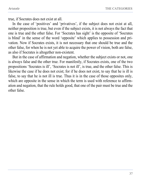true, if Socrates does not exist at all.

In the case of 'positives' and 'privatives', if the subject does not exist at all, neither proposition is true, but even if the subject exists, it is not always the fact that one is true and the other false. For 'Socrates has sight' is the opposite of 'Socrates is blind' in the sense of the word 'opposite' which applies to possession and privation. Now if Socrates exists, it is not necessary that one should be true and the other false, for when he is not yet able to acquire the power of vision, both are false, as also if Socrates is altogether non-existent.

But in the case of affirmation and negation, whether the subject exists or not, one is always false and the other true. For manifestly, if Socrates exists, one of the two propositions 'Socrates is ill', 'Socrates is not ill', is true, and the other false. This is likewise the case if he does not exist; for if he does not exist, to say that he is ill is false, to say that he is not ill is true. Thus it is in the case of those opposites only, which are opposite in the sense in which the term is used with reference to affirmation and negation, that the rule holds good, that one of the pair must be true and the other false.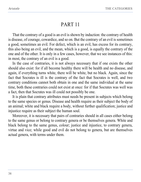That the contrary of a good is an evil is shown by induction: the contrary of health is disease, of courage, cowardice, and so on. But the contrary of an evil is sometimes a good, sometimes an evil. For defect, which is an evil, has excess for its contrary, this also being an evil, and the mean, which is a good, is equally the contrary of the one and of the other. It is only in a few cases, however, that we see instances of this: in most, the contrary of an evil is a good.

In the case of contraries, it is not always necessary that if one exists the other should also exist: for if all become healthy there will be health and no disease, and again, if everything turns white, there will be white, but no black. Again, since the fact that Socrates is ill is the contrary of the fact that Socrates is well, and two contrary conditions cannot both obtain in one and the same individual at the same time, both these contraries could not exist at once: for if that Socrates was well was a fact, then that Socrates was ill could not possibly be one.

It is plain that contrary attributes must needs be present in subjects which belong to the same species or genus. Disease and health require as their subject the body of an animal; white and black require a body, without further qualification; justice and injustice require as their subject the human soul.

Moreover, it is necessary that pairs of contraries should in all cases either belong to the same genus or belong to contrary genera or be themselves genera. White and black belong to the same genus, colour; justice and injustice, to contrary genera, virtue and vice; while good and evil do not belong to genera, but are themselves actual genera, with terms under them.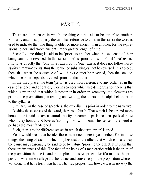There are four senses in which one thing can be said to be 'prior' to another. Primarily and most properly the term has reference to time: in this sense the word is used to indicate that one thing is older or more ancient than another, for the expressions 'older' and 'more ancient' imply greater length of time.

Secondly, one thing is said to be 'prior' to another when the sequence of their being cannot be reversed. In this sense 'one' is 'prior' to 'two'. For if 'two' exists, it follows directly that 'one' must exist, but if 'one' exists, it does not follow necessarily that 'two' exists: thus the sequence subsisting cannot be reversed. It is agreed, then, that when the sequence of two things cannot be reversed, then that one on which the other depends is called 'prior' to that other.

In the third place, the term 'prior' is used with reference to any order, as in the case of science and of oratory. For in sciences which use demonstration there is that which is prior and that which is posterior in order; in geometry, the elements are prior to the propositions; in reading and writing, the letters of the alphabet are prior to the syllables.

Similarly, in the case of speeches, the exordium is prior in order to the narrative.

Besides these senses of the word, there is a fourth. That which is better and more honourable is said to have a natural priority. In common parlance men speak of those whom they honour and love as 'coming first' with them. This sense of the word is perhaps the most far-fetched.

Such, then, are the different senses in which the term 'prior' is used.

Yet it would seem that besides those mentioned there is yet another. For in those things, the being of each of which implies that of the other, that which is in any way the cause may reasonably be said to be by nature 'prior' to the effect. It is plain that there are instances of this. The fact of the being of a man carries with it the truth of the proposition that he is, and the implication is reciprocal: for if a man is, the proposition wherein we allege that he is true, and conversely, if the proposition wherein we allege that he is true, then he is. The true proposition, however, is in no way the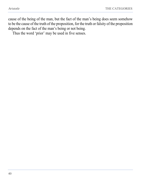cause of the being of the man, but the fact of the man's being does seem somehow to be the cause of the truth of the proposition, for the truth or falsity of the proposition depends on the fact of the man's being or not being.

Thus the word 'prior' may be used in five senses.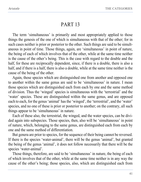The term 'simultaneous' is primarily and most appropriately applied to those things the genesis of the one of which is simultaneous with that of the other; for in such cases neither is prior or posterior to the other. Such things are said to be simultaneous in point of time. Those things, again, are 'simultaneous' in point of nature, the being of each of which involves that of the other, while at the same time neither is the cause of the other's being. This is the case with regard to the double and the half, for these are reciprocally dependent, since, if there is a double, there is also a half, and if there is a half, there is also a double, while at the same time neither is the cause of the being of the other.

Again, those species which are distinguished one from another and opposed one to another within the same genus are said to be 'simultaneous' in nature. I mean those species which are distinguished each from each by one and the same method of division. Thus the 'winged' species is simultaneous with the 'terrestrial' and the 'water' species. These are distinguished within the same genus, and are opposed each to each, for the genus 'animal' has the 'winged', the 'terrestrial', and the 'water' species, and no one of these is prior or posterior to another; on the contrary, all such things appear to be 'simultaneous' in nature.

Each of these also, the terrestrial, the winged, and the water species, can be divided again into subspecies. Those species, then, also will be 'simultaneous' in point of nature, which, belonging to the same genus, are distinguished each from each by one and the same method of differentiation.

But genera are prior to species, for the sequence of their being cannot be reversed. If there is the species 'water-animal', there will be the genus 'animal', but granted the being of the genus 'animal', it does not follow necessarily that there will be the species 'water-animal'.

Those things, therefore, are said to be 'simultaneous' in nature, the being of each of which involves that of the other, while at the same time neither is in any way the cause of the other's being; those species, also, which are distinguished each from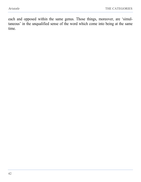each and opposed within the same genus. Those things, moreover, are 'simultaneous' in the unqualified sense of the word which come into being at the same time.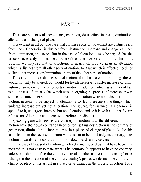There are six sorts of movement: generation, destruction, increase, diminution, alteration, and change of place.

It is evident in all but one case that all these sorts of movement are distinct each from each. Generation is distinct from destruction, increase and change of place from diminution, and so on. But in the case of alteration it may be argued that the process necessarily implies one or other of the other five sorts of motion. This is not true, for we may say that all affections, or nearly all, produce in us an alteration which is distinct from all other sorts of motion, for that which is affected need not suffer either increase or diminution or any of the other sorts of motion.

Thus alteration is a distinct sort of motion; for, if it were not, the thing altered would not only be altered, but would forthwith necessarily suffer increase or diminution or some one of the other sorts of motion in addition; which as a matter of fact is not the case. Similarly that which was undergoing the process of increase or was subject to some other sort of motion would, if alteration were not a distinct form of motion, necessarily be subject to alteration also. But there are some things which undergo increase but yet not alteration. The square, for instance, if a gnomon is applied to it, undergoes increase but not alteration, and so it is with all other figures of this sort. Alteration and increase, therefore, are distinct.

Speaking generally, rest is the contrary of motion. But the different forms of motion have their own contraries in other forms; thus destruction is the contrary of generation, diminution of increase, rest in a place, of change of place. As for this last, change in the reverse direction would seem to be most truly its contrary; thus motion upwards is the contrary of motion downwards and vice versa.

In the case of that sort of motion which yet remains, of those that have been enumerated, it is not easy to state what is its contrary. It appears to have no contrary, unless one should define the contrary here also either as 'rest in its quality' or as 'change in the direction of the contrary quality', just as we defined the contrary of change of place either as rest in a place or as change in the reverse direction. For a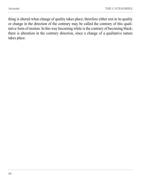thing is altered when change of quality takes place; therefore either rest in its quality or change in the direction of the contrary may be called the contrary of this qualitative form of motion. In this way becoming white is the contrary of becoming black; there is alteration in the contrary direction, since a change of a qualitative nature takes place.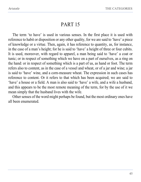The term 'to have' is used in various senses. In the first place it is used with reference to habit or disposition or any other quality, for we are said to 'have' a piece of knowledge or a virtue. Then, again, it has reference to quantity, as, for instance, in the case of a man's height; for he is said to 'have' a height of three or four cubits. It is used, moreover, with regard to apparel, a man being said to 'have' a coat or tunic; or in respect of something which we have on a part of ourselves, as a ring on the hand: or in respect of something which is a part of us, as hand or foot. The term refers also to content, as in the case of a vessel and wheat, or of a jar and wine; a jar is said to 'have' wine, and a corn-measure wheat. The expression in such cases has reference to content. Or it refers to that which has been acquired; we are said to 'have' a house or a field. A man is also said to 'have' a wife, and a wife a husband, and this appears to be the most remote meaning of the term, for by the use of it we mean simply that the husband lives with the wife.

Other senses of the word might perhaps be found, but the most ordinary ones have all been enumerated.